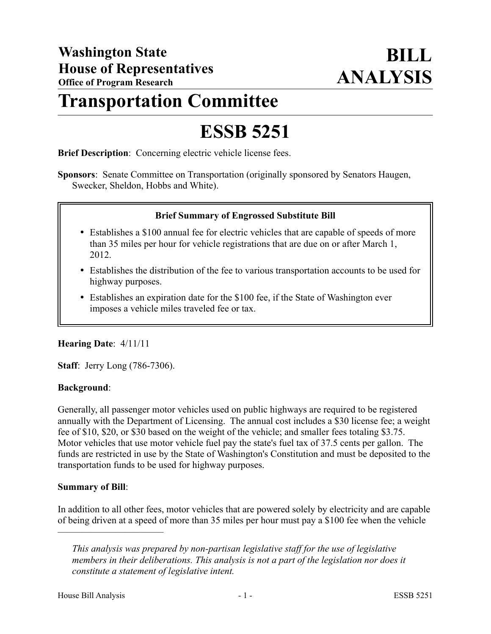## **Transportation Committee**

# **ESSB 5251**

**Brief Description**: Concerning electric vehicle license fees.

**Sponsors**: Senate Committee on Transportation (originally sponsored by Senators Haugen, Swecker, Sheldon, Hobbs and White).

#### **Brief Summary of Engrossed Substitute Bill**

- Establishes a \$100 annual fee for electric vehicles that are capable of speeds of more than 35 miles per hour for vehicle registrations that are due on or after March 1, 2012.
- Establishes the distribution of the fee to various transportation accounts to be used for highway purposes.
- Establishes an expiration date for the \$100 fee, if the State of Washington ever imposes a vehicle miles traveled fee or tax.

### **Hearing Date**: 4/11/11

**Staff**: Jerry Long (786-7306).

### **Background**:

Generally, all passenger motor vehicles used on public highways are required to be registered annually with the Department of Licensing. The annual cost includes a \$30 license fee; a weight fee of \$10, \$20, or \$30 based on the weight of the vehicle; and smaller fees totaling \$3.75. Motor vehicles that use motor vehicle fuel pay the state's fuel tax of 37.5 cents per gallon. The funds are restricted in use by the State of Washington's Constitution and must be deposited to the transportation funds to be used for highway purposes.

### **Summary of Bill**:

––––––––––––––––––––––

In addition to all other fees, motor vehicles that are powered solely by electricity and are capable of being driven at a speed of more than 35 miles per hour must pay a \$100 fee when the vehicle

*This analysis was prepared by non-partisan legislative staff for the use of legislative members in their deliberations. This analysis is not a part of the legislation nor does it constitute a statement of legislative intent.*